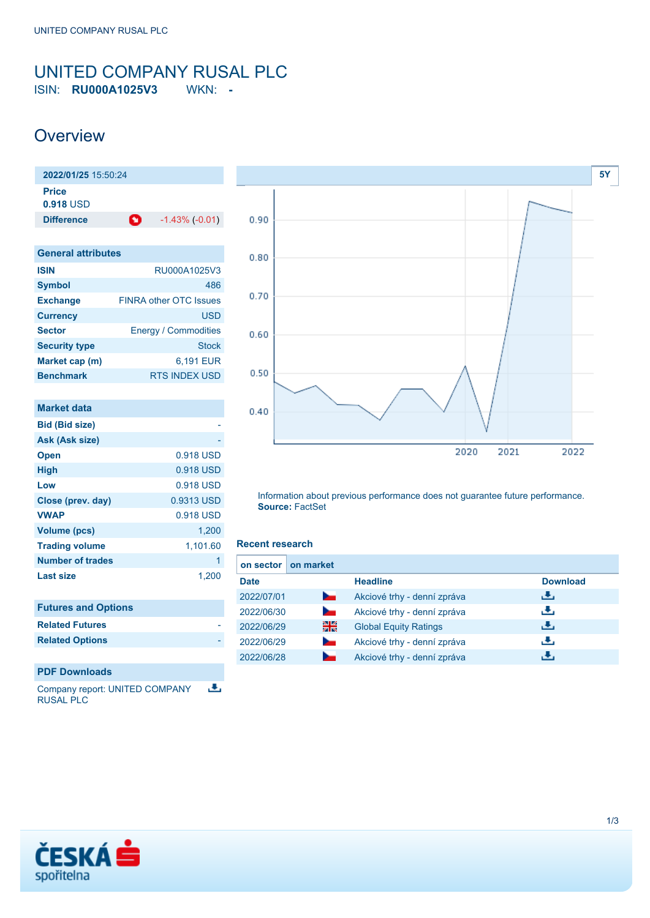# <span id="page-0-0"></span>UNITED COMPANY RUSAL PLC

ISIN: **RU000A1025V3** WKN: **-**

### **Overview**

| 2022/01/25 15:50:24       |                               |
|---------------------------|-------------------------------|
| Price<br><b>0.918 USD</b> |                               |
| <b>Difference</b>         | o<br>$-1.43\%$ ( $-0.01$ )    |
|                           |                               |
| <b>General attributes</b> |                               |
| <b>ISIN</b>               | RU000A1025V3                  |
| <b>Symbol</b>             | 486                           |
| <b>Exchange</b>           | <b>FINRA other OTC Issues</b> |

| <b>Currency</b>      | <b>USD</b>                  |
|----------------------|-----------------------------|
| <b>Sector</b>        | <b>Energy / Commodities</b> |
| <b>Security type</b> | <b>Stock</b>                |
| Market cap (m)       | 6.191 EUR                   |
| <b>Benchmark</b>     | <b>RTS INDEX USD</b>        |

| Market data             |            |
|-------------------------|------------|
| <b>Bid (Bid size)</b>   |            |
| Ask (Ask size)          |            |
| <b>Open</b>             | 0.918 USD  |
| <b>High</b>             | 0.918 USD  |
| Low                     | 0.918 USD  |
| Close (prev. day)       | 0.9313 USD |
| <b>VWAP</b>             | 0.918 USD  |
| Volume (pcs)            | 1.200      |
| <b>Trading volume</b>   | 1,101.60   |
| <b>Number of trades</b> | 1          |
| <b>Last size</b>        | 1.200      |

| <b>Futures and Options</b> |  |  |
|----------------------------|--|--|
|----------------------------|--|--|

| <b>Related Futures</b> |  |
|------------------------|--|
| <b>Related Options</b> |  |

#### **PDF Downloads**

违 Company report: UNITED COMPANY RUSAL PLC



Information about previous performance does not guarantee future performance. **Source:** FactSet

#### **Recent research**

| on sector   | on market      |                              |                 |
|-------------|----------------|------------------------------|-----------------|
| <b>Date</b> |                | <b>Headline</b>              | <b>Download</b> |
| 2022/07/01  | <b>Service</b> | Akciové trhy - denní zpráva  | ريل             |
| 2022/06/30  | $\mathcal{L}$  | Akciové trhy - denní zpráva  | رنان            |
| 2022/06/29  | 쯺              | <b>Global Equity Ratings</b> | رالى            |
| 2022/06/29  |                | Akciové trhy - denní zpráva  | æ,              |
| 2022/06/28  |                | Akciové trhy - denní zpráva  | . Ф.,           |
|             |                |                              |                 |

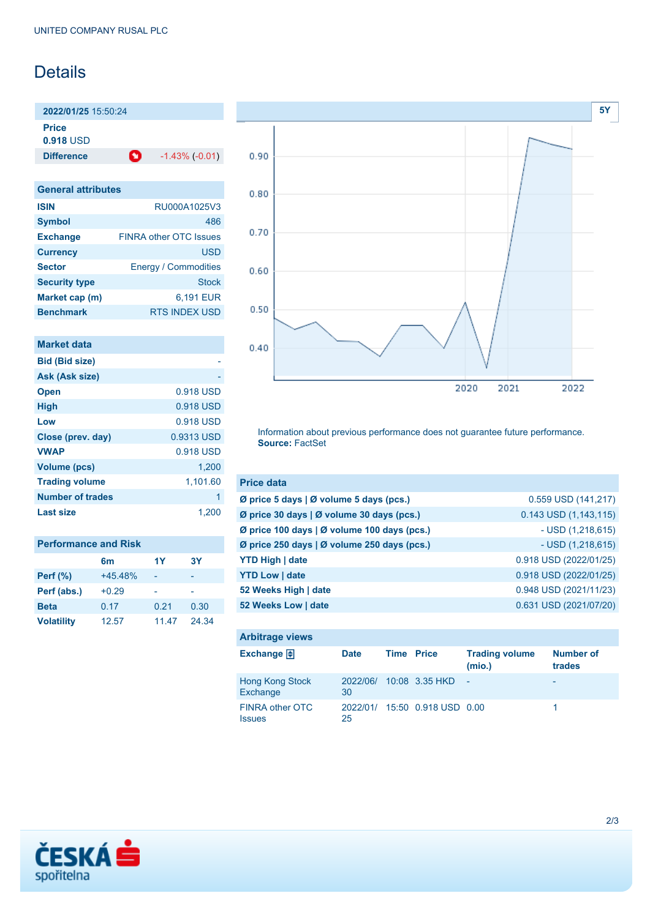## Details

**2022/01/25** 15:50:24

**Price 0.918** USD

**Difference 1.43% (-0.01)** 

| <b>General attributes</b> |                               |  |
|---------------------------|-------------------------------|--|
| <b>ISIN</b>               | RU000A1025V3                  |  |
| <b>Symbol</b>             | 486                           |  |
| <b>Exchange</b>           | <b>FINRA other OTC Issues</b> |  |
| <b>Currency</b>           | <b>USD</b>                    |  |
| <b>Sector</b>             | <b>Energy / Commodities</b>   |  |
| <b>Security type</b>      | <b>Stock</b>                  |  |
| Market cap (m)            | 6,191 EUR                     |  |
| <b>Benchmark</b>          | <b>RTS INDEX USD</b>          |  |

| Market data             |            |
|-------------------------|------------|
| <b>Bid (Bid size)</b>   |            |
| Ask (Ask size)          |            |
| <b>Open</b>             | 0.918 USD  |
| <b>High</b>             | 0.918 USD  |
| Low                     | 0.918 USD  |
| Close (prev. day)       | 0.9313 USD |
| <b>VWAP</b>             | 0.918 USD  |
| <b>Volume (pcs)</b>     | 1,200      |
| <b>Trading volume</b>   | 1,101.60   |
| <b>Number of trades</b> | 1          |
| Last size               | 1,200      |

| <b>Performance and Risk</b> |           |       |       |
|-----------------------------|-----------|-------|-------|
|                             | 6m        | 1Y    | 3Y    |
| <b>Perf</b> (%)             | $+45.48%$ |       |       |
| Perf (abs.)                 | $+0.29$   |       |       |
| <b>Beta</b>                 | 0.17      | 0.21  | 0.30  |
| <b>Volatility</b>           | 12.57     | 11.47 | 24.34 |



Information about previous performance does not guarantee future performance. **Source:** FactSet

| <b>Price data</b>                                         |                        |
|-----------------------------------------------------------|------------------------|
| $\emptyset$ price 5 days $\emptyset$ volume 5 days (pcs.) | 0.559 USD (141,217)    |
| Ø price 30 days   Ø volume 30 days (pcs.)                 | 0.143 USD (1,143,115)  |
| Ø price 100 days   Ø volume 100 days (pcs.)               | $-$ USD (1,218,615)    |
| Ø price 250 days   Ø volume 250 days (pcs.)               | $-$ USD $(1,218,615)$  |
| <b>YTD High   date</b>                                    | 0.918 USD (2022/01/25) |
| <b>YTD Low   date</b>                                     | 0.918 USD (2022/01/25) |
| 52 Weeks High   date                                      | 0.948 USD (2021/11/23) |
| 52 Weeks Low   date                                       | 0.631 USD (2021/07/20) |

| <b>Arbitrage views</b>           |                |                   |                               |                                 |                     |
|----------------------------------|----------------|-------------------|-------------------------------|---------------------------------|---------------------|
| Exchange $\bigoplus$             | <b>Date</b>    | <b>Time Price</b> |                               | <b>Trading volume</b><br>(mio.) | Number of<br>trades |
| Hong Kong Stock<br>Exchange      | 2022/06/<br>30 |                   | $10:08$ 3.35 HKD              | N.                              | -                   |
| FINRA other OTC<br><b>Issues</b> | 25             |                   | 2022/01/ 15:50 0.918 USD 0.00 |                                 |                     |